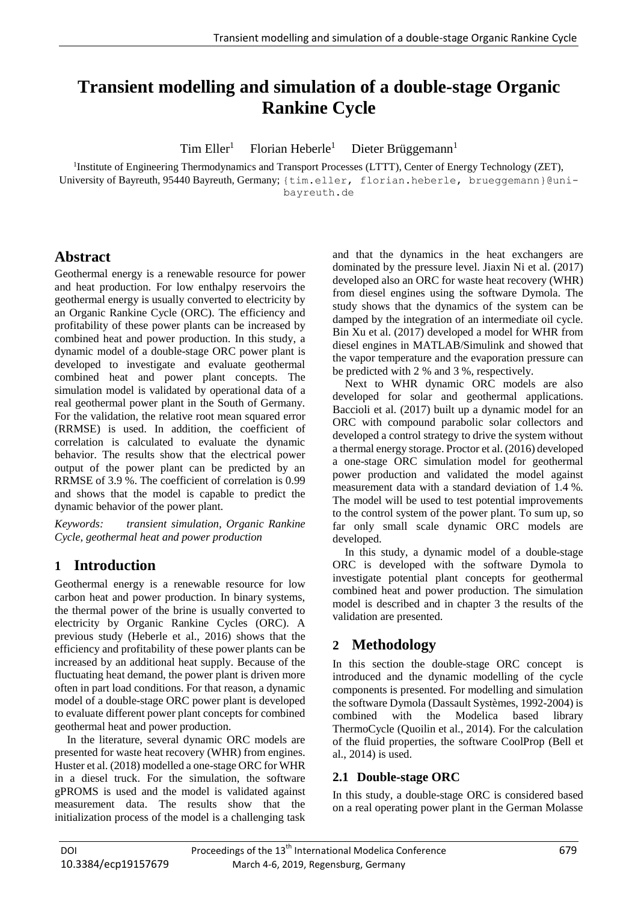# **Transient modelling and simulation of a double-stage Organic Rankine Cycle**

 $Tim$  Eller<sup>1</sup> Florian Heberle $1$ Dieter Brüggemann $<sup>1</sup>$ </sup>

<sup>1</sup>Institute of Engineering Thermodynamics and Transport Processes (LTTT), Center of Energy Technology (ZET), University of Bayreuth, 95440 Bayreuth, Germany; {tim.eller, florian.heberle, brueggemann}@unibayreuth.de

# **Abstract**

Geothermal energy is a renewable resource for power and heat production. For low enthalpy reservoirs the geothermal energy is usually converted to electricity by an Organic Rankine Cycle (ORC). The efficiency and profitability of these power plants can be increased by combined heat and power production. In this study, a dynamic model of a double-stage ORC power plant is developed to investigate and evaluate geothermal combined heat and power plant concepts. The simulation model is validated by operational data of a real geothermal power plant in the South of Germany. For the validation, the relative root mean squared error (RRMSE) is used. In addition, the coefficient of correlation is calculated to evaluate the dynamic behavior. The results show that the electrical power output of the power plant can be predicted by an RRMSE of 3.9 %. The coefficient of correlation is 0.99 and shows that the model is capable to predict the dynamic behavior of the power plant.

*Keywords: transient simulation, Organic Rankine Cycle, geothermal heat and power production*

# **1 Introduction**

Geothermal energy is a renewable resource for low carbon heat and power production. In binary systems, the thermal power of the brine is usually converted to electricity by Organic Rankine Cycles (ORC). A previous study (Heberle et al., 2016) shows that the efficiency and profitability of these power plants can be increased by an additional heat supply. Because of the fluctuating heat demand, the power plant is driven more often in part load conditions. For that reason, a dynamic model of a double-stage ORC power plant is developed to evaluate different power plant concepts for combined geothermal heat and power production.

In the literature, several dynamic ORC models are presented for waste heat recovery (WHR) from engines. Huster et al. (2018) modelled a one-stage ORC for WHR in a diesel truck. For the simulation, the software gPROMS is used and the model is validated against measurement data. The results show that the initialization process of the model is a challenging task

and that the dynamics in the heat exchangers are dominated by the pressure level. Jiaxin Ni et al. (2017) developed also an ORC for waste heat recovery (WHR) from diesel engines using the software Dymola. The study shows that the dynamics of the system can be damped by the integration of an intermediate oil cycle. Bin Xu et al. (2017) developed a model for WHR from diesel engines in MATLAB/Simulink and showed that the vapor temperature and the evaporation pressure can be predicted with 2 % and 3 %, respectively.

Next to WHR dynamic ORC models are also developed for solar and geothermal applications. Baccioli et al. (2017) built up a dynamic model for an ORC with compound parabolic solar collectors and developed a control strategy to drive the system without a thermal energy storage. Proctor et al. (2016) developed a one-stage ORC simulation model for geothermal power production and validated the model against measurement data with a standard deviation of 1.4 %. The model will be used to test potential improvements to the control system of the power plant. To sum up, so far only small scale dynamic ORC models are developed.

In this study, a dynamic model of a double-stage ORC is developed with the software Dymola to investigate potential plant concepts for geothermal combined heat and power production. The simulation model is described and in chapter 3 the results of the validation are presented.

# **2 Methodology**

In this section the double-stage ORC concept is introduced and the dynamic modelling of the cycle components is presented. For modelling and simulation the software Dymola (Dassault Systèmes, 1992-2004) is combined with the Modelica based library ThermoCycle (Quoilin et al., 2014). For the calculation of the fluid properties, the software CoolProp (Bell et al., 2014) is used.

# **2.1 Double-stage ORC**

In this study, a double-stage ORC is considered based on a real operating power plant in the German Molasse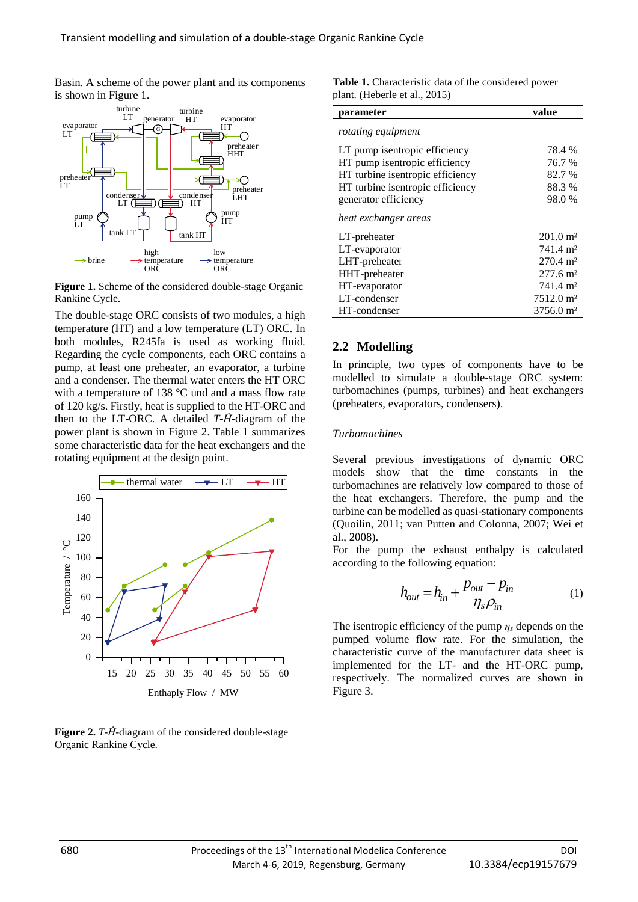Basin. A scheme of the power plant and its components is shown in Figure 1.



Figure 1. Scheme of the considered double-stage Organic Rankine Cycle.

The double-stage ORC consists of two modules, a high temperature (HT) and a low temperature (LT) ORC. In both modules, R245fa is used as working fluid. Regarding the cycle components, each ORC contains a pump, at least one preheater, an evaporator, a turbine and a condenser. The thermal water enters the HT ORC with a temperature of 138 °C und and a mass flow rate of 120 kg/s. Firstly, heat is supplied to the HT-ORC and then to the LT-ORC. A detailed  $T$ - $\dot{H}$ -diagram of the power plant is shown in Figure 2. Table 1 summarizes some characteristic data for the heat exchangers and the rotating equipment at the design point.



**Figure 2.** *T*-*H*-diagram of the considered double-stage Organic Rankine Cycle.

| <b>Table 1.</b> Characteristic data of the considered power |  |
|-------------------------------------------------------------|--|
| plant. (Heberle et al., 2015)                               |  |

| parameter                        | value                |
|----------------------------------|----------------------|
| rotating equipment               |                      |
| LT pump is entropic efficiency   | 78.4 %               |
| HT pump is entropic efficiency   | 76.7 %               |
| HT turbine isentropic efficiency | 82.7 %               |
| HT turbine isentropic efficiency | 88.3 %               |
| generator efficiency             | 98.0 %               |
| heat exchanger areas             |                      |
| LT-preheater                     | $201.0 \text{ m}^2$  |
| LT-evaporator                    | 741.4 m <sup>2</sup> |
| LHT-preheater                    | $270.4 \text{ m}^2$  |
| HHT-preheater                    | $277.6 \text{ m}^2$  |
| HT-evaporator                    | 741.4 m <sup>2</sup> |
| LT-condenser                     | $7512.0 \text{ m}^2$ |
| HT-condenser                     | $3756.0 \text{ m}^2$ |
|                                  |                      |

#### **2.2 Modelling**

In principle, two types of components have to be modelled to simulate a double-stage ORC system: turbomachines (pumps, turbines) and heat exchangers (preheaters, evaporators, condensers).

#### *Turbomachines*

Several previous investigations of dynamic ORC models show that the time constants in the turbomachines are relatively low compared to those of the heat exchangers. Therefore, the pump and the turbine can be modelled as quasi-stationary components (Quoilin, 2011; van Putten and Colonna, 2007; Wei et al., 2008).

For the pump the exhaust enthalpy is calculated according to the following equation:

$$
h_{out} = h_{in} + \frac{p_{out} - p_{in}}{\eta_s \rho_{in}}
$$
 (1)

The isentropic efficiency of the pump  $\eta_s$  depends on the pumped volume flow rate. For the simulation, the characteristic curve of the manufacturer data sheet is implemented for the LT- and the HT-ORC pump, respectively. The normalized curves are shown in Figure 3.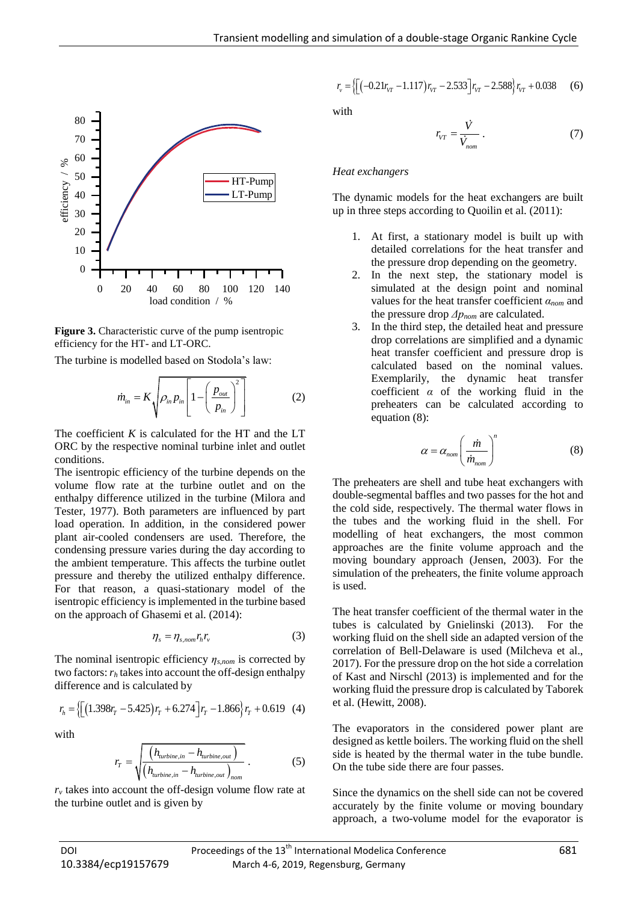

**Figure 3.** Characteristic curve of the pump isentropic efficiency for the HT- and LT-ORC.

The turbine is modelled based on Stodola's law:

$$
\dot{m}_{in} = K \sqrt{\rho_{in} p_{in} \left[1 - \left(\frac{p_{out}}{p_{in}}\right)^2\right]}
$$
 (2)

The coefficient *K* is calculated for the HT and the LT ORC by the respective nominal turbine inlet and outlet conditions.

The isentropic efficiency of the turbine depends on the volume flow rate at the turbine outlet and on the enthalpy difference utilized in the turbine (Milora and Tester, 1977). Both parameters are influenced by part load operation. In addition, in the considered power plant air-cooled condensers are used. Therefore, the condensing pressure varies during the day according to the ambient temperature. This affects the turbine outlet pressure and thereby the utilized enthalpy difference. For that reason, a quasi-stationary model of the isentropic efficiency is implemented in the turbine based on the approach of Ghasemi et al. (2014):

$$
\eta_s = \eta_{s,nom} r_h r_v \tag{3}
$$

The nominal isentropic efficiency *ηs,nom* is corrected by two factors: *r<sup>h</sup>* takes into account the off-design enthalpy

difference and is calculated by  
\n
$$
r_h = \left\{ \left[ (1.398r_T - 5.425)r_T + 6.274 \right] r_T - 1.866 \right\} r_T + 0.619 \quad (4)
$$

with

$$
r_T = \sqrt{\frac{\left(h_{turbine,in} - h_{turbine,out}\right)}{\left(h_{turbine,in} - h_{turbine,out}\right)_{nom}}}
$$
 (5)

 $r<sub>v</sub>$  takes into account the off-design volume flow rate at the turbine outlet and is given by

$$
r_{v} = \left\{ \left[ \left( -0.21r_{VT} - 1.117 \right) r_{VT} - 2.533 \right] r_{VT} - 2.588 \right\} r_{VT} + 0.038 \tag{6}
$$

with

$$
r_{VT} = \frac{\dot{V}}{\dot{V}_{nom}} \tag{7}
$$

#### *Heat exchangers*

The dynamic models for the heat exchangers are built up in three steps according to Quoilin et al. (2011):

- 1. At first, a stationary model is built up with detailed correlations for the heat transfer and the pressure drop depending on the geometry.
- 2. In the next step, the stationary model is simulated at the design point and nominal values for the heat transfer coefficient *αnom* and the pressure drop *Δpnom* are calculated.
- 3. In the third step, the detailed heat and pressure drop correlations are simplified and a dynamic heat transfer coefficient and pressure drop is calculated based on the nominal values. Exemplarily, the dynamic heat transfer coefficient *α* of the working fluid in the preheaters can be calculated according to equation (8):

$$
\alpha = \alpha_{nom} \left( \frac{\dot{m}}{\dot{m}_{nom}} \right)^n \tag{8}
$$

The preheaters are shell and tube heat exchangers with double-segmental baffles and two passes for the hot and the cold side, respectively. The thermal water flows in the tubes and the working fluid in the shell. For modelling of heat exchangers, the most common approaches are the finite volume approach and the moving boundary approach (Jensen, 2003). For the simulation of the preheaters, the finite volume approach is used.

The heat transfer coefficient of the thermal water in the tubes is calculated by Gnielinski (2013). For the working fluid on the shell side an adapted version of the correlation of Bell-Delaware is used (Milcheva et al., 2017). For the pressure drop on the hot side a correlation of Kast and Nirschl (2013) is implemented and for the working fluid the pressure drop is calculated by Taborek et al. (Hewitt, 2008).

The evaporators in the considered power plant are designed as kettle boilers. The working fluid on the shell side is heated by the thermal water in the tube bundle. On the tube side there are four passes.

Since the dynamics on the shell side can not be covered accurately by the finite volume or moving boundary approach, a two-volume model for the evaporator is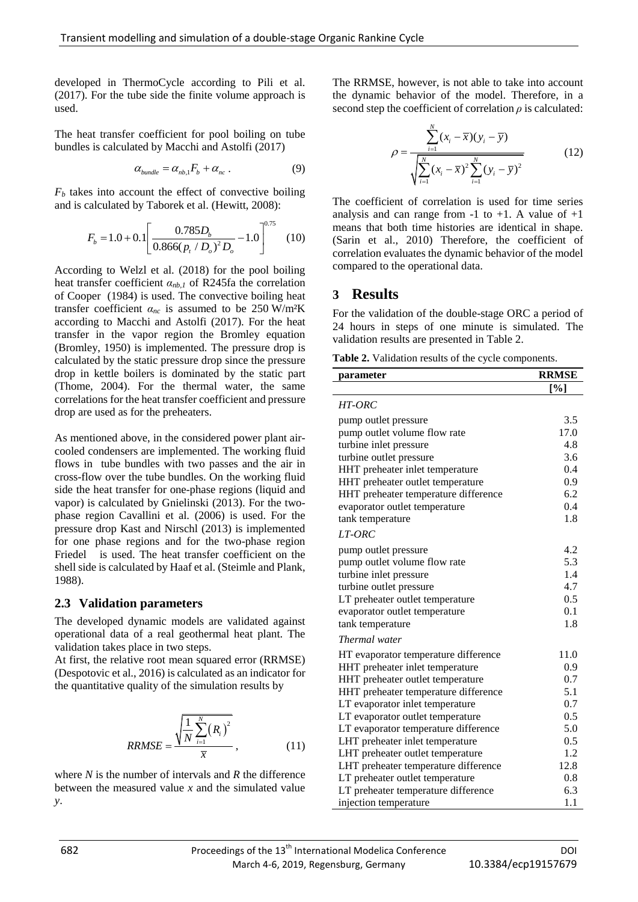developed in ThermoCycle according to Pili et al. (2017). For the tube side the finite volume approach is used.

The heat transfer coefficient for pool boiling on tube bundles is calculated by Macchi and Astolfi (2017)

$$
\alpha_{\text{bundle}} = \alpha_{\text{nb},1} F_b + \alpha_{\text{nc}} . \tag{9}
$$

 $F_b$  takes into account the effect of convective boiling and is calculated by Taborek et al. (Hewitt, 2008):

$$
F_b = 1.0 + 0.1 \left[ \frac{0.785 D_b}{0.866 (p_t/D_o)^2 D_o} - 1.0 \right]^{0.75}
$$
 (10)

According to Welzl et al. (2018) for the pool boiling heat transfer coefficient *αnb,1* of R245fa the correlation of Cooper (1984) is used. The convective boiling heat transfer coefficient  $\alpha_{nc}$  is assumed to be 250 W/m<sup>2</sup>K according to Macchi and Astolfi (2017). For the heat transfer in the vapor region the Bromley equation (Bromley, 1950) is implemented. The pressure drop is calculated by the static pressure drop since the pressure drop in kettle boilers is dominated by the static part (Thome, 2004). For the thermal water, the same correlations for the heat transfer coefficient and pressure drop are used as for the preheaters.

As mentioned above, in the considered power plant aircooled condensers are implemented. The working fluid flows in tube bundles with two passes and the air in cross-flow over the tube bundles. On the working fluid side the heat transfer for one-phase regions (liquid and vapor) is calculated by Gnielinski (2013). For the twophase region Cavallini et al. (2006) is used. For the pressure drop Kast and Nirschl (2013) is implemented for one phase regions and for the two-phase region Friedel is used. The heat transfer coefficient on the shell side is calculated by Haaf et al. (Steimle and Plank, 1988).

## **2.3 Validation parameters**

The developed dynamic models are validated against operational data of a real geothermal heat plant. The validation takes place in two steps.

At first, the relative root mean squared error (RRMSE) (Despotovic et al., 2016) is calculated as an indicator for the quantitative quality of the simulation results by

$$
RRMSE = \frac{\sqrt{\frac{1}{N} \sum_{i=1}^{N} (R_i)^2}}{\overline{x}},
$$
 (11)

where *N* is the number of intervals and *R* the difference between the measured value *x* and the simulated value *y*.

The RRMSE, however, is not able to take into account the dynamic behavior of the model. Therefore, in a second step the coefficient of correlation  $\rho$  is calculated:

$$
\rho = \frac{\sum_{i=1}^{N} (x_i - \overline{x})(y_i - \overline{y})}{\sqrt{\sum_{i=1}^{N} (x_i - \overline{x})^2 \sum_{i=1}^{N} (y_i - \overline{y})^2}}
$$
(12)

The coefficient of correlation is used for time series analysis and can range from  $-1$  to  $+1$ . A value of  $+1$ means that both time histories are identical in shape. (Sarin et al., 2010) Therefore, the coefficient of correlation evaluates the dynamic behavior of the model compared to the operational data.

# **3 Results**

For the validation of the double-stage ORC a period of 24 hours in steps of one minute is simulated. The validation results are presented in Table 2.

**Table 2.** Validation results of the cycle components.

| parameter                            | <b>RRMSE</b> |
|--------------------------------------|--------------|
|                                      | [%]          |
| <i>HT-ORC</i>                        |              |
| pump outlet pressure                 | 3.5          |
| pump outlet volume flow rate         | 17.0         |
| turbine inlet pressure               | 4.8          |
| turbine outlet pressure              | 3.6          |
| HHT preheater inlet temperature      | 0.4          |
| HHT preheater outlet temperature     | 0.9          |
| HHT preheater temperature difference | 6.2          |
| evaporator outlet temperature        | 0.4          |
| tank temperature                     | 1.8          |
| LT-ORC                               |              |
| pump outlet pressure                 | 4.2          |
| pump outlet volume flow rate         | 5.3          |
| turbine inlet pressure               | 1.4          |
| turbine outlet pressure              | 4.7          |
| LT preheater outlet temperature      | 0.5          |
| evaporator outlet temperature        | 0.1          |
| tank temperature                     | 1.8          |
| Thermal water                        |              |
| HT evaporator temperature difference | 11.0         |
| HHT preheater inlet temperature      | 0.9          |
| HHT preheater outlet temperature     | 0.7          |
| HHT preheater temperature difference | 5.1          |
| LT evaporator inlet temperature      | 0.7          |
| LT evaporator outlet temperature     | 0.5          |
| LT evaporator temperature difference | 5.0          |
| LHT preheater inlet temperature      | 0.5          |
| LHT preheater outlet temperature     | 1.2          |
| LHT preheater temperature difference | 12.8         |
| LT preheater outlet temperature      | 0.8          |
| LT preheater temperature difference  | 6.3          |
| injection temperature                | 1.1          |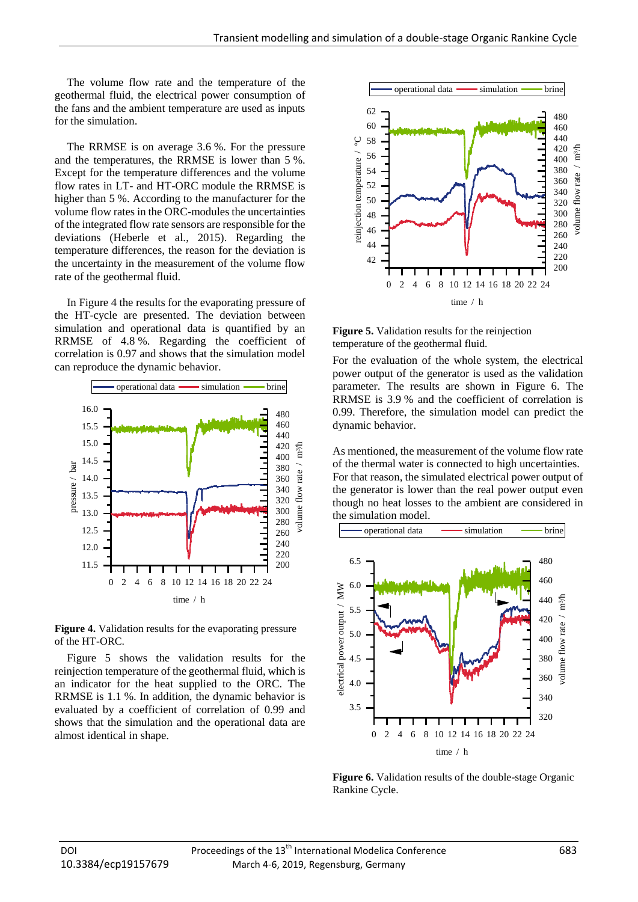The volume flow rate and the temperature of the geothermal fluid, the electrical power consumption of the fans and the ambient temperature are used as inputs for the simulation.

The RRMSE is on average 3.6 %. For the pressure and the temperatures, the RRMSE is lower than 5 %. Except for the temperature differences and the volume flow rates in LT- and HT-ORC module the RRMSE is higher than 5 %. According to the manufacturer for the volume flow rates in the ORC-modules the uncertainties of the integrated flow rate sensors are responsible for the deviations (Heberle et al., 2015). Regarding the temperature differences, the reason for the deviation is the uncertainty in the measurement of the volume flow rate of the geothermal fluid.

In Figure 4 the results for the evaporating pressure of the HT-cycle are presented. The deviation between simulation and operational data is quantified by an RRMSE of 4.8 %. Regarding the coefficient of correlation is 0.97 and shows that the simulation model can reproduce the dynamic behavior.



**Figure 4.** Validation results for the evaporating pressure of the HT-ORC.

Figure 5 shows the validation results for the reinjection temperature of the geothermal fluid, which is an indicator for the heat supplied to the ORC. The RRMSE is 1.1 %. In addition, the dynamic behavior is evaluated by a coefficient of correlation of 0.99 and shows that the simulation and the operational data are almost identical in shape.



**Figure 5.** Validation results for the reinjection temperature of the geothermal fluid.

For the evaluation of the whole system, the electrical power output of the generator is used as the validation parameter. The results are shown in Figure 6. The RRMSE is 3.9 % and the coefficient of correlation is 0.99. Therefore, the simulation model can predict the dynamic behavior.

As mentioned, the measurement of the volume flow rate of the thermal water is connected to high uncertainties. For that reason, the simulated electrical power output of the generator is lower than the real power output even though no heat losses to the ambient are considered in the simulation model.



**Figure 6.** Validation results of the double-stage Organic Rankine Cycle.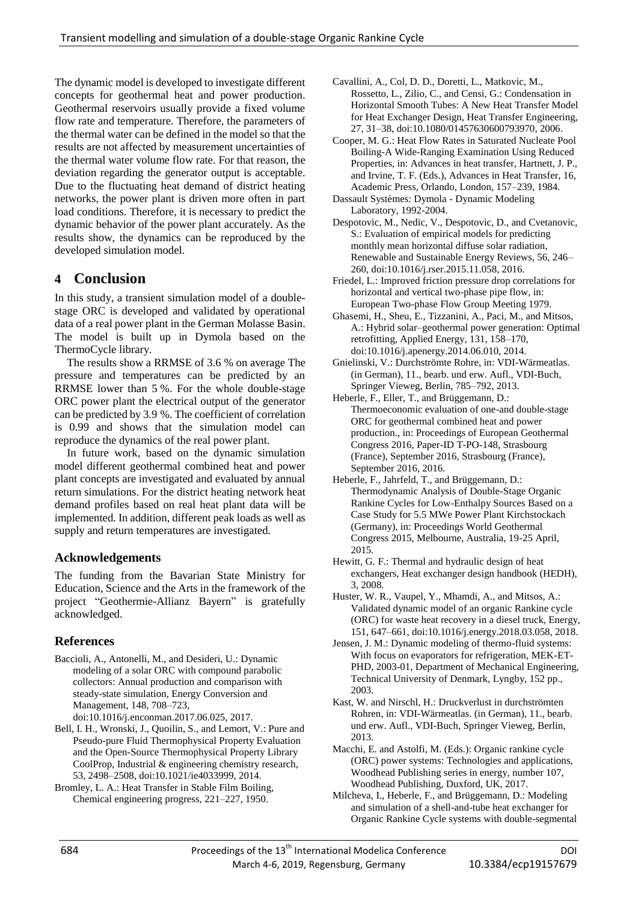The dynamic model is developed to investigate different concepts for geothermal heat and power production. Geothermal reservoirs usually provide a fixed volume flow rate and temperature. Therefore, the parameters of the thermal water can be defined in the model so that the results are not affected by measurement uncertainties of the thermal water volume flow rate. For that reason, the deviation regarding the generator output is acceptable. Due to the fluctuating heat demand of district heating networks, the power plant is driven more often in part load conditions. Therefore, it is necessary to predict the dynamic behavior of the power plant accurately. As the results show, the dynamics can be reproduced by the developed simulation model.

# **4 Conclusion**

In this study, a transient simulation model of a doublestage ORC is developed and validated by operational data of a real power plant in the German Molasse Basin. The model is built up in Dymola based on the ThermoCycle library.

The results show a RRMSE of 3.6 % on average The pressure and temperatures can be predicted by an RRMSE lower than 5 %. For the whole double-stage ORC power plant the electrical output of the generator can be predicted by 3.9 %. The coefficient of correlation is 0.99 and shows that the simulation model can reproduce the dynamics of the real power plant.

In future work, based on the dynamic simulation model different geothermal combined heat and power plant concepts are investigated and evaluated by annual return simulations. For the district heating network heat demand profiles based on real heat plant data will be implemented. In addition, different peak loads as well as supply and return temperatures are investigated.

# **Acknowledgements**

The funding from the Bavarian State Ministry for Education, Science and the Arts in the framework of the project "Geothermie-Allianz Bayern" is gratefully acknowledged.

# **References**

- Baccioli, A., Antonelli, M., and Desideri, U.: Dynamic modeling of a solar ORC with compound parabolic collectors: Annual production and comparison with steady-state simulation, Energy Conversion and Management, 148, 708–723, doi:10.1016/j.enconman.2017.06.025, 2017.
- Bell, I. H., Wronski, J., Quoilin, S., and Lemort, V.: Pure and Pseudo-pure Fluid Thermophysical Property Evaluation and the Open-Source Thermophysical Property Library CoolProp, Industrial & engineering chemistry research, 53, 2498–2508, doi:10.1021/ie4033999, 2014.
- Bromley, L. A.: Heat Transfer in Stable Film Boiling, Chemical engineering progress, 221–227, 1950.
- Cavallini, A., Col, D. D., Doretti, L., Matkovic, M., Rossetto, L., Zilio, C., and Censi, G.: Condensation in Horizontal Smooth Tubes: A New Heat Transfer Model for Heat Exchanger Design, Heat Transfer Engineering, 27, 31–38, doi:10.1080/01457630600793970, 2006.
- Cooper, M. G.: Heat Flow Rates in Saturated Nucleate Pool Boiling-A Wide-Ranging Examination Using Reduced Properties, in: Advances in heat transfer, Hartnett, J. P., and Irvine, T. F. (Eds.), Advances in Heat Transfer, 16, Academic Press, Orlando, London, 157–239, 1984.
- Dassault Systèmes: Dymola Dynamic Modeling Laboratory, 1992-2004.
- Despotovic, M., Nedic, V., Despotovic, D., and Cvetanovic, S.: Evaluation of empirical models for predicting monthly mean horizontal diffuse solar radiation, Renewable and Sustainable Energy Reviews, 56, 246– 260, doi:10.1016/j.rser.2015.11.058, 2016.
- Friedel, L.: Improved friction pressure drop correlations for horizontal and vertical two-phase pipe flow, in: European Two-phase Flow Group Meeting 1979.
- Ghasemi, H., Sheu, E., Tizzanini, A., Paci, M., and Mitsos, A.: Hybrid solar–geothermal power generation: Optimal retrofitting, Applied Energy, 131, 158–170, doi:10.1016/j.apenergy.2014.06.010, 2014.
- Gnielinski, V.: Durchströmte Rohre, in: VDI-Wärmeatlas. (in German), 11., bearb. und erw. Aufl., VDI-Buch, Springer Vieweg, Berlin, 785–792, 2013.
- Heberle, F., Eller, T., and Brüggemann, D.: Thermoeconomic evaluation of one-and double-stage ORC for geothermal combined heat and power production., in: Proceedings of European Geothermal Congress 2016, Paper-ID T-PO-148, Strasbourg (France), September 2016, Strasbourg (France), September 2016, 2016.
- Heberle, F., Jahrfeld, T., and Brüggemann, D.: Thermodynamic Analysis of Double-Stage Organic Rankine Cycles for Low-Enthalpy Sources Based on a Case Study for 5.5 MWe Power Plant Kirchstockach (Germany), in: Proceedings World Geothermal Congress 2015, Melbourne, Australia, 19-25 April, 2015.
- Hewitt, G. F.: Thermal and hydraulic design of heat exchangers, Heat exchanger design handbook (HEDH), 3, 2008.
- Huster, W. R., Vaupel, Y., Mhamdi, A., and Mitsos, A.: Validated dynamic model of an organic Rankine cycle (ORC) for waste heat recovery in a diesel truck, Energy, 151, 647–661, doi:10.1016/j.energy.2018.03.058, 2018.
- Jensen, J. M.: Dynamic modeling of thermo-fluid systems: With focus on evaporators for refrigeration, MEK-ET-PHD, 2003-01, Department of Mechanical Engineering, Technical University of Denmark, Lyngby, 152 pp., 2003.
- Kast, W. and Nirschl, H.: Druckverlust in durchströmten Rohren, in: VDI-Wärmeatlas. (in German), 11., bearb. und erw. Aufl., VDI-Buch, Springer Vieweg, Berlin, 2013.
- Macchi, E. and Astolfi, M. (Eds.): Organic rankine cycle (ORC) power systems: Technologies and applications, Woodhead Publishing series in energy, number 107, Woodhead Publishing, Duxford, UK, 2017.
- Milcheva, I., Heberle, F., and Brüggemann, D.: Modeling and simulation of a shell-and-tube heat exchanger for Organic Rankine Cycle systems with double-segmental